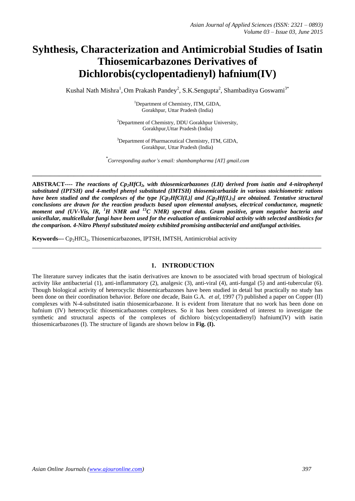# **Syhthesis, Characterization and Antimicrobial Studies of Isatin Thiosemicarbazones Derivatives of Dichlorobis(cyclopentadienyl) hafnium(IV)**

Kushal Nath Mishra<sup>1</sup>, Om Prakash Pandey<sup>2</sup>, S.K.Sengupta<sup>2</sup>, Shambaditya Goswami<sup>3\*</sup>

<sup>1</sup>Department of Chemistry, ITM, GIDA, Gorakhpur, Uttar Pradesh (India)

 ${}^{2}$ Department of Chemistry, DDU Gorakhpur University, Gorakhpur,Uttar Pradesh (India)

<sup>3</sup>Department of Pharmaceutical Chemistry, ITM, GIDA, Gorakhpur, Uttar Pradesh (India)

*\* Corresponding author's email: shambampharma [AT] gmail.com*

**\_\_\_\_\_\_\_\_\_\_\_\_\_\_\_\_\_\_\_\_\_\_\_\_\_\_\_\_\_\_\_\_\_\_\_\_\_\_\_\_\_\_\_\_\_\_\_\_\_\_\_\_\_\_\_\_\_\_\_\_\_\_\_\_\_\_\_\_\_\_\_\_\_\_\_\_\_\_\_\_\_\_\_\_\_\_\_\_\_\_\_\_\_\_\_\_\_**

**ABSTRACT----** *The reactions of Cp2HfCl2, with thiosemicarbazones (LH) derived from isatin and 4-nitrophenyl substituted (IPTSH) and 4-methyl phenyl substituted (IMTSH) thiosemicarbazide in various stoichiometric rations have been studied and the complexes of the type [Cp2HfCl(L)] and [Cp2Hf(L)3] are obtained. Tentative structural conclusions are drawn for the reaction products based upon elemental analyses, electrical conductance, magnetic moment and (UV-Vis, IR, <sup>1</sup>H NMR and <sup>13</sup>C NMR) spectral data. Gram positive, gram negative bacteria and unicellular, multicellular fungi have been used for the evaluation of antimicrobial activity with selected antibiotics for the comparison. 4-Nitro Phenyl substituted moiety exhibited promising antibacterial and antifungal activities.*

\_\_\_\_\_\_\_\_\_\_\_\_\_\_\_\_\_\_\_\_\_\_\_\_\_\_\_\_\_\_\_\_\_\_\_\_\_\_\_\_\_\_\_\_\_\_\_\_\_\_\_\_\_\_\_\_\_\_\_\_\_\_\_\_\_\_\_\_\_\_\_\_\_\_\_\_\_\_\_\_\_\_\_\_\_\_\_\_\_\_\_\_\_\_\_\_\_

Keywords--- Cp<sub>2</sub>HfCl<sub>2</sub>, Thiosemicarbazones, IPTSH, IMTSH, Antimicrobial activity

# **1. INTRODUCTION**

The literature survey indicates that the isatin derivatives are known to be associated with broad spectrum of biological activity like antibacterial (1), anti-inflammatory (2), analgesic (3), anti-viral (4), anti-fungal (5) and anti-tubercular (6). Though biological activity of heterocyclic thiosemicarbazones have been studied in detail but practically no study has been done on their coordination behavior. Before one decade, Bain G.A. *et al,* 1997 (7) published a paper on Copper (II) complexes with N-4-substituted isatin thiosemicarbazone. It is evident from literature that no work has been done on hafnium (IV) heterocyclic thiosemicarbazones complexes. So it has been considered of interest to investigate the synthetic and structural aspects of the complexes of dichloro bis(cyclopentadienyl) hafnium(IV) with isatin thiosemicarbazones (I). The structure of ligands are shown below in **Fig. (I).**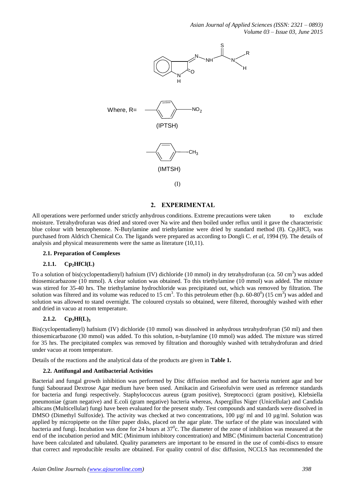*Asian Journal of Applied Sciences (ISSN: 2321 – 0893) Volume 03 – Issue 03, June 2015*



# **2. EXPERIMENTAL**

All operations were performed under strictly anhydrous conditions. Extreme precautions were taken to exclude moisture. Tetrahydrofuran was dried and stored over Na wire and then boiled under reflux until it gave the characteristic blue colour with benzophenone. N-Butylamine and triethylamine were dried by standard method (8).  $\text{Cp}_2\text{HfCl}_2$  was purchased from Aldrich Chemical Co. The ligands were prepared as according to Dongli C. *et al*, 1994 (9). The details of analysis and physical measurements were the same as literature (10,11).

#### **2.1. Preparation of Complexes**

# **2.1.1. Cp2HfCl(L)**

To a solution of bis(cyclopentadienyl) hafnium (IV) dichloride (10 mmol) in dry tetrahydrofuran (ca. 50 cm<sup>3</sup>) was added thiosemicarbazone (10 mmol). A clear solution was obtained. To this triethylamine (10 mmol) was added. The mixture was stirred for 35-40 hrs. The triethylamine hydrochloride was precipitated out, which was removed by filtration. The solution was filtered and its volume was reduced to 15 cm<sup>3</sup>. To this petroleum ether (b.p. 60-80<sup>0</sup>) (15 cm<sup>3</sup>) was added and solution was allowed to stand overnight. The coloured crystals so obtained, were filtered, thoroughly washed with ether and dried in vacuo at room temperature.

#### $2.1.2.$  **Cp**<sub>2</sub> $Hf(L)$ <sub>3</sub>

Bis(cyclopentadienyl) hafnium (IV) dichloride (10 mmol) was dissolved in anhydrous tetrahydrofyran (50 ml) and then thiosemicarbazone (30 mmol) was added. To this solution, n-butylamine (10 mmol) was added. The mixture was stirred for 35 hrs. The precipitated complex was removed by filtration and thoroughly washed with tetrahydrofuran and dried under vacuo at room temperature.

Details of the reactions and the analytical data of the products are given in **Table 1.**

#### **2.2. Antifungal and Antibacterial Activities**

**Assumption**<br> **Assumption**  $\mathbf{R} = \begin{pmatrix} 0 \\ 0 \end{pmatrix}$ <br>  $\mathbf{A} = \begin{pmatrix} 0 \\ 0 \end{pmatrix}$ <br>  $\mathbf{A} = \begin{pmatrix} 0 \\ 0 \end{pmatrix}$ <br>  $\mathbf{A} = \begin{pmatrix} 0 \\ 0 \end{pmatrix}$ <br>  $\mathbf{A} = \begin{pmatrix} 0 \\ 0 \end{pmatrix}$ <br>  $\mathbf{A} = \begin{pmatrix} 0 \\ 0 \end{pmatrix}$ <br>  $\mathbf{A} = \begin{pmatrix} 0 \\ 0 \end{pmatrix}$ Bacterial and fungal growth inhibition was performed by Disc diffusion method and for bacteria nutrient agar and bor fungi Sabouraud Dextrose Agar medium have been used. Amikacin and Griseofulvin were used as reference standards for bacteria and fungi respectively. Staphylococcus aureus (gram positive), Streptococci (gram positive), Klebsiella pneumoniae (gram negative) and E.coli (gram negative) bacteria whereas, Aspergillus Niger (Unicellular) and Candida albicans (Multicellular) fungi have been evaluated for the present study. Test compounds and standards were dissolved in DMSO (Dimethyl Sulfoxide). The activity was checked at two concentrations, 100  $\mu$ g/ ml and 10  $\mu$ g/ml. Solution was applied by micropipette on the filter paper disks, placed on the agar plate. The surface of the plate was inoculated with bacteria and fungi. Incubation was done for 24 hours at  $37^{\circ}$ c. The diameter of the zone of inhibition was measured at the end of the incubation period and MIC (Minimum inhibitory concentration) and MBC (Minimum bacterial Concentration) have been calculated and tabulated. Quality parameters are important to be ensured in the use of combi-discs to ensure that correct and reproducible results are obtained. For quality control of disc diffusion, NCCLS has recommended the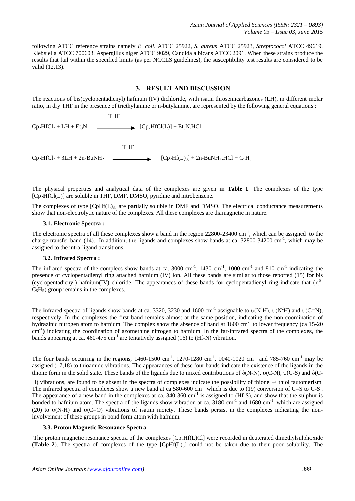following ATCC reference strains namely *E. coli*. ATCC 25922, *S. aureus* ATCC 25923, *Streptococci* ATCC 49619, Klebsiella ATCC 700603, Aspergillus niger ATCC 9029, Candida albicans ATCC 2091. When these strains produce the results that fail within the specified limits (as per NCCLS guidelines), the susceptibility test results are considered to be valid (12,13).

# **3. RESULT AND DISCUSSION**

The reactions of bis(cyclopentadienyl) hafnium (IV) dichloride, with isatin thiosemicarbazones (LH), in different molar ratio, in dry THF in the presence of triethylamine or n-butylamine, are represented by the following general equations :

**THE STATE OF STREET AND THE STATE OF STREET AND THE**  $Cp_2HfCl_2 + LH + Et_3N$   $\longrightarrow$   $[CP_2HfCl(L)] + Et_3N.HCl$ 

 THF  $\text{Cp}_2\text{HfCl}_2 + 3\text{LH} + 2\text{n-BuNH}_2$   $\longrightarrow$   $\text{[Cp}_2\text{Hf(L)}_3] + 2\text{n-BuNH}_2\text{HCl}_2 + \text{C}_3\text{H}_6$ 

The physical properties and analytical data of the complexes are given in **Table 1**. The complexes of the type  $[Cp<sub>2</sub>HfCl(L)]$  are soluble in THF, DMF, DMSO, pyridine and nitrobenzene.

The complexes of type  $[ChH(L)<sub>3</sub>]$  are partially soluble in DMF and DMSO. The electrical conductance measurements show that non-electrolytic nature of the complexes. All these complexes are diamagnetic in nature.

#### **3.1. Electronic Spectra :**

The electronic spectra of all these complexes show a band in the region  $22800-23400$  cm<sup>-1</sup>, which can be assigned to the charge transfer band (14). In addition, the ligands and complexes show bands at ca. 32800-34200 cm<sup>-1</sup>, which may be assigned to the intra-ligand transitions.

# **3.2. Infrared Spectra :**

The infrared spectra of the complees show bands at ca. 3000 cm<sup>-1</sup>, 1430 cm<sup>-1</sup>, 1000 cm<sup>-1</sup> and 810 cm<sup>-1</sup> indicating the presence of cyclopentadienyl ring attached hafnium (IV) ion. All these bands are similar to those reported (15) for bis (cyclopentadienyl) hafnium(IV) chloride. The appearances of these bands for cyclopentadienyl ring indicate that  $(\eta^5$ - $C_5H_5$ ) group remains in the complexes.

The infrared spectra of ligands show bands at ca. 3320, 3230 and 1600 cm<sup>-1</sup> assignable to  $v(N^4H)$ ,  $v(N^2H)$  and  $v(C=N)$ , respectively. In the complexes the first band remains almost at the same position, indicating the non-coordination of hydrazinic nitrogen atom to hafnium. The complex show the absence of band at 1600 cm<sup>-1</sup> to lower frequency (ca 15-20 cm<sup>-1</sup>) indicating the coordination of azomethine nitrogen to hafnium. In the far-infrared spectra of the complexes, the bands appearing at ca. 460-475  $cm^{-1}$  are tentatively assigned (16) to (Hf-N) vibration.

The four bands occurring in the regions,  $1460-1500$  cm<sup>-1</sup>,  $1270-1280$  cm<sup>-1</sup>,  $1040-1020$  cm<sup>-1</sup> and  $785-760$  cm<sup>-1</sup> may be assigned (17,18) to thioamide vibrations. The appearances of these four bands indicate the existence of the ligands in the thione form in the solid state. These bands of the ligands due to mixed contributions of  $\delta(N-N)$ ,  $\nu(C-N)$ ,  $\nu(C-S)$  and  $\delta(C-S)$ 

H) vibrations, are found to be absent in the spectra of complexes indicate the possibility of thione  $\Rightarrow$  thiol tautomerism. The infrared spectra of complexes show a new band at ca  $580-600$  cm<sup>-1</sup> which is due to (19) conversion of C=S to C-S. The appearance of a new band in the complexes at ca.  $340-360$  cm<sup>-1</sup> is assigned to (Hf-S), and show that the sulphur is bonded to hafnium atom. The spectra of the ligands show vibration at ca.  $3180 \text{ cm}^{-1}$  and  $1680 \text{ cm}^{-1}$ , which are assigned (20) to  $\nu(N-H)$  and  $\nu(C=O)$  vibrations of isatiin moiety. These bands persist in the complexes indicating the noninvolvement of these groups in bond form atom with hafnium.

#### **3.3. Proton Magnetic Resonance Spectra**

The proton magnetic resonance spectra of the complexes [Cp<sub>2</sub>Hf(L)Cl] were recorded in deuterated dimethylsulphoxide (**Table 2**). The spectra of complexes of the type [CpHf(L)3] could not be taken due to their poor solubility. The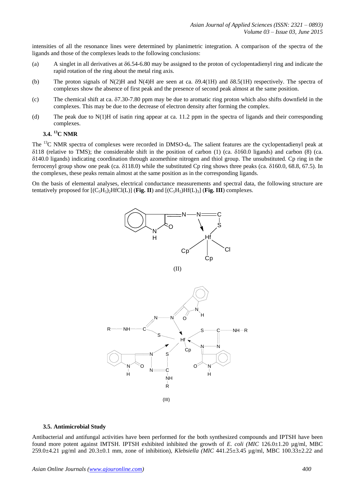intensities of all the resonance lines were determined by planimetric integration. A comparison of the spectra of the ligands and those of the complexes leads to the following conclusions:

- (a) A singlet in all derivatives at  $\delta$ 6.54-6.80 may be assigned to the proton of cyclopentadienyl ring and indicate the rapid rotation of the ring about the metal ring axis.
- (b) The proton signals of N(2)H and N(4)H are seen at ca.  $\delta$ 9.4(1H) and  $\delta$ 8.5(1H) respectively. The spectra of complexes show the absence of first peak and the presence of second peak almost at the same position.
- (c) The chemical shift at ca.  $\delta$ 7.30-7.80 ppm may be due to aromatic ring proton which also shifts downfield in the complexes. This may be due to the decrease of electron density after forming the complex.
- (d) The peak due to  $N(1)$ H of isatin ring appear at ca. 11.2 ppm in the spectra of ligands and their corresponding complexes.

# **3.4. <sup>13</sup>C NMR**

The  $^{13}$ C NMR spectra of complexes were recorded in DMSO- $d_6$ . The salient features are the cyclopentadienyl peak at  $\delta$ 118 (relative to TMS); the considerable shift in the position of carbon (1) (ca.  $\delta$ 160.0 ligands) and carbon (8) (ca.  $\delta$ 140.0 ligands) indicating coordination through azomethine nitrogen and thiol group. The unsubstituted. Cp ring in the ferrocenyl group show one peak (ca.  $\delta$ 118.0) while the substituted Cp ring shows three peaks (ca.  $\delta$ 160.0, 68.8, 67.5). In the complexes, these peaks remain almost at the same position as in the corresponding ligands.

On the basis of elemental analyses, electrical conductance measurements and spectral data, the following structure are tentatively proposed for  $[(C_5H_5)HfCl(L)]$  (**Fig. II**) and  $[(C_5H_5)Hf(L)_3]$  (**Fig. III**) complexes.



(II)



(III)

#### **3.5. Antimicrobial Study**

Antibacterial and antifungal activities have been performed for the both synthesized compounds and IPTSH have been found more potent against IMTSH. IPTSH exhibited inhibited the growth of *E. coli (MIC* 126.0±1.20 µg/ml, MBC 259.0±4.21 µg/ml and 20.3±0.1 mm, zone of inhibition), *Klebsiella (MIC* 441.25±3.45 µg/ml, MBC 100.33±2.22 and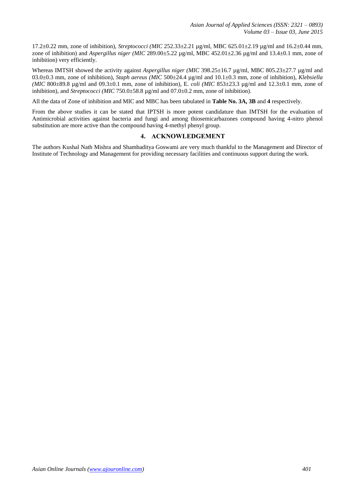17.2±0.22 mm, zone of inhibition), *Streptococci (MIC* 252.33±2.21 µg/ml, MBC 625.01±2.19 µg/ml and 16.2±0.44 mm, zone of inhibition) and *Aspergillus niger (MIC* 289.00 $\pm$ 5.22  $\mu$ g/ml, MBC 452.01 $\pm$ 2.36  $\mu$ g/ml and 13.4 $\pm$ 0.1 mm, zone of inhibition) very efficiently.

Whereas IMTSH showed the activity against *Aspergillus niger (MIC* 398.25±16.7 ug/ml, MBC 805.23±27.7 ug/ml and 03.0±0.3 mm, zone of inhibition), *Staph aereus (MIC* 500±24.4 µg/ml and 10.1±0.3 mm, zone of inhibition), *Klebsiella (MIC* 800±89.8 µg/ml and 09.3±0.1 mm, zone of inhibition), E*. coli (MIC* 853±23.3 µg/ml and 12.3±0.1 mm, zone of inhibition), and *Streptococci (MIC* 750.0±58.8 µg/ml and 07.0±0.2 mm, zone of inhibition).

All the data of Zone of inhibition and MIC and MBC has been tabulated in **Table No. 3A, 3B** and **4** respectively.

From the above studies it can be stated that IPTSH is more potent candidature than IMTSH for the evaluation of Antimicrobial activities against bacteria and fungi and among thiosemicarbazones compound having 4-nitro phenol substitution are more active than the compound having 4-methyl phenyl group.

# **4. ACKNOWLEDGEMENT**

The authors Kushal Nath Mishra and Shambaditya Goswami are very much thankful to the Management and Director of Institute of Technology and Management for providing necessary facilities and continuous support during the work.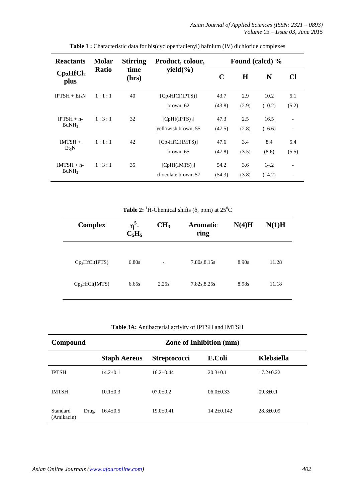| <b>Reactants</b>                  | <b>Molar</b> | <b>Stirring</b> | Product, colour,                                 | Found (calcd) % |              |                |                          |
|-----------------------------------|--------------|-----------------|--------------------------------------------------|-----------------|--------------|----------------|--------------------------|
| $Cp_2HfCl_2$<br>plus              | <b>Ratio</b> | time<br>(hrs)   | yield $(\% )$                                    | C               | $\bf H$      | N              | Cl                       |
| $IPTSH + Et_3N$                   | 1:1:1        | 40              | [Cp <sub>2</sub> HfCl(IPTS)]<br>brown, 62        | 43.7<br>(43.8)  | 2.9<br>(2.9) | 10.2<br>(10.2) | 5.1<br>(5.2)             |
| $IPTSH + n-$<br>BuNH <sub>2</sub> | 1:3:1        | 32              | [ChH(IPTS) <sub>3</sub> ]<br>yellowish brown, 55 | 47.3<br>(47.5)  | 2.5<br>(2.8) | 16.5<br>(16.6) |                          |
| $IMTSH +$<br>$Et_3N$              | 1:1:1        | 42              | [Cp <sub>2</sub> HfCl(MTS)]<br>brown, 65         | 47.6<br>(47.8)  | 3.4<br>(3.5) | 8.4<br>(8.6)   | 5.4<br>(5.5)             |
| $IMTSH + n-$<br>BuNH <sub>2</sub> | 1:3:1        | 35              | [ChH(IMTS) <sub>3</sub> ]<br>chocolate brown, 57 | 54.2<br>(54.3)  | 3.6<br>(3.8) | 14.2<br>(14.2) | $\overline{\phantom{a}}$ |

**Table 1 :** Characteristic data for bis(cyclopentadienyl) hafnium (IV) dichloride complexes

**Table 2:** <sup>1</sup>H-Chemical shifts ( $\delta$ , ppm) at 25<sup>0</sup>C

| <b>Complex</b>             | $\eta^5$ -<br>$C_5H_5$ | CH <sub>3</sub>          | <b>Aromatic</b><br>ring | N(4)H | N(1)H |
|----------------------------|------------------------|--------------------------|-------------------------|-------|-------|
| $Cp_2HfCl(IPTS)$           | 6.80s                  | $\overline{\phantom{a}}$ | 7.80s, 8.15s            | 8.90s | 11.28 |
| Cp <sub>2</sub> HfCl(IMTS) | 6.65s                  | 2.25s                    | 7.82s, 8.25s            | 8.98s | 11.18 |

**Table 3A:** Antibacterial activity of IPTSH and IMTSH

| Compound               |      |                     | <b>Zone of Inhibition (mm)</b> |                |                   |
|------------------------|------|---------------------|--------------------------------|----------------|-------------------|
|                        |      | <b>Staph Aereus</b> | <b>Streptococci</b>            | E.Coli         | <b>Klebsiella</b> |
| <b>IPTSH</b>           |      | $14.2 + 0.1$        | $16.2 + 0.44$                  | $20.3+0.1$     | $17.2 + 0.22$     |
| <b>IMTSH</b>           |      | $10.1 + 0.3$        | $07.0 + 0.2$                   | $06.0 + 0.33$  | $09.3+0.1$        |
| Standard<br>(Amikacin) | Drug | $16.4 \pm 0.5$      | $19.0 + 0.41$                  | $14.2 + 0.142$ | $28.3 \pm 0.09$   |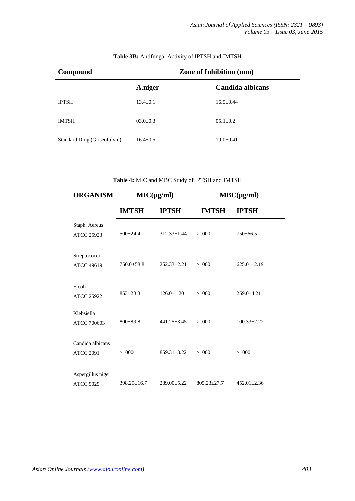| Compound                     | <b>Zone of Inhibition (mm)</b> |                  |  |
|------------------------------|--------------------------------|------------------|--|
|                              | A.niger                        | Candida albicans |  |
| <b>IPTSH</b>                 | $13.4 \pm 0.1$                 | $16.5 \pm 0.44$  |  |
| <b>IMTSH</b>                 | $03.0 \pm 0.3$                 | $05.1 \pm 0.2$   |  |
| Standard Drug (Griseofulvin) | $16.4 + 0.5$                   | $19.0 \pm 0.41$  |  |

# **Table 3B:** Antifungal Activity of IPTSH and IMTSH

**Table 4:** MIC and MBC Study of IPTSH and IMTSH **ORGANISM MIC(µg/ml) MBC(µg/ml) IMTSH IPTSH IMTSH IPTSH** Staph. Aereus ATCC 25923 500±24.4 312.33±1.44 >1000 750±66.5 Streptococci ATCC 49619 750.0±58.8 252.33±2.21 >1000 625.01±2.19 E.coli ATCC 25922 853±23.3 126.0±1.20 >1000 259.0±4.21 Klebsiella ATCC 700603 800±89.8 441.25±3.45 >1000 100.33±2.22 Candida albicans ATCC 2091 >1000 859.31±3.22 >1000 >1000 Aspergillus niger ATCC 9029 398.25±16.7 289.00±5.22 805.23±27.7 452.01±2.36